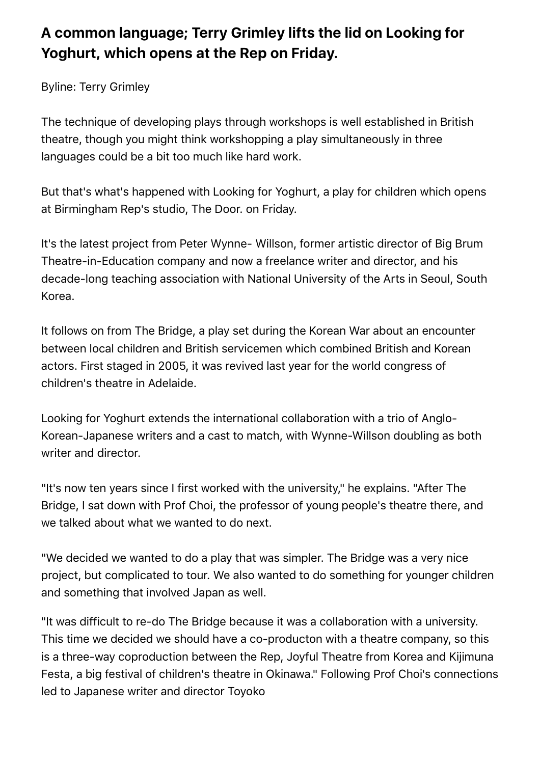## **A common language; Terry Grimley lifts the lid on Looking for Yoghurt, which opens at the Rep on Friday.**

Byline: Terry Grimley

The technique of developing plays through workshops is well established in British theatre, though you might think workshopping a play simultaneously in three languages could be a bit too much like hard work.

But that's what's happened with Looking for Yoghurt, a play for children which opens at Birmingham Rep's studio, The Door. on Friday.

It's the latest project from Peter Wynne- Willson, former artistic director of Big Brum Theatre-in-Education company and now a freelance writer and director, and his decade-long teaching association with National University of the Arts in Seoul, South Korea.

It follows on from The Bridge, a play set during the Korean War about an encounter between local children and British servicemen which combined British and Korean actors. First staged in 2005, it was revived last year for the world congress of children's theatre in Adelaide.

Looking for Yoghurt extends the international collaboration with a trio of Anglo-Korean-Japanese writers and a cast to match, with Wynne-Willson doubling as both writer and director.

"It's now ten years since I first worked with the university," he explains. "After The Bridge, I sat down with Prof Choi, the professor of young people's theatre there, and we talked about what we wanted to do next.

"We decided we wanted to do a play that was simpler. The Bridge was a very nice project, but complicated to tour. We also wanted to do something for younger children and something that involved Japan as well.

"It was difficult to re-do The Bridge because it was a collaboration with a university. This time we decided we should have a co-producton with a theatre company, so this is a three-way coproduction between the Rep, Joyful Theatre from Korea and Kijimuna Festa, a big festival of children's theatre in Okinawa." Following Prof Choi's connections led to Japanese writer and director Toyoko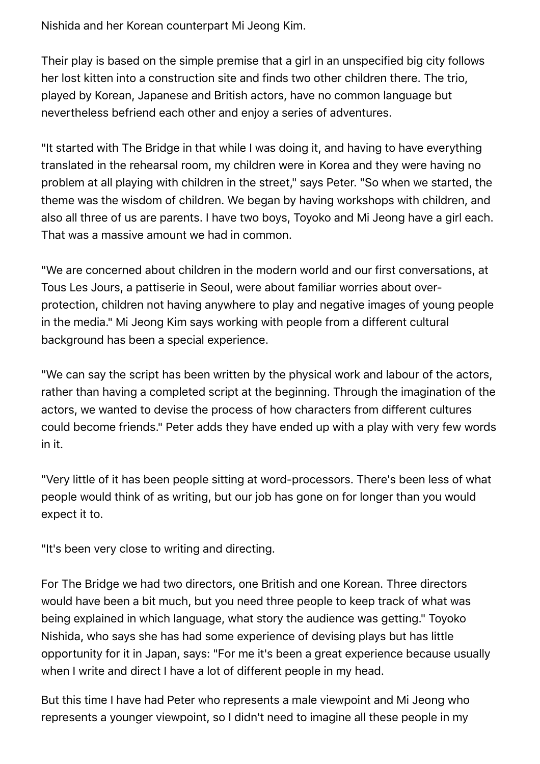Nishida and her Korean counterpart Mi Jeong Kim.

Their play is based on the simple premise that a girl in an unspecified big city follows her lost kitten into a construction site and finds two other children there. The trio, played by Korean, Japanese and British actors, have no common language but nevertheless befriend each other and enjoy a series of adventures.

"It started with The Bridge in that while I was doing it, and having to have everything translated in the rehearsal room, my children were in Korea and they were having no problem at all playing with children in the street," says Peter. "So when we started, the theme was the wisdom of children. We began by having workshops with children, and also all three of us are parents. I have two boys, Toyoko and Mi Jeong have a girl each. That was a massive amount we had in common.

"We are concerned about children in the modern world and our first conversations, at Tous Les Jours, a pattiserie in Seoul, were about familiar worries about overprotection, children not having anywhere to play and negative images of young people in the media." Mi Jeong Kim says working with people from a different cultural background has been a special experience.

"We can say the script has been written by the physical work and labour of the actors, rather than having a completed script at the beginning. Through the imagination of the actors, we wanted to devise the process of how characters from different cultures could become friends." Peter adds they have ended up with a play with very few words in it.

"Very little of it has been people sitting at word-processors. There's been less of what people would think of as writing, but our job has gone on for longer than you would expect it to.

"It's been very close to writing and directing.

For The Bridge we had two directors, one British and one Korean. Three directors would have been a bit much, but you need three people to keep track of what was being explained in which language, what story the audience was getting." Toyoko Nishida, who says she has had some experience of devising plays but has little opportunity for it in Japan, says: "For me it's been a great experience because usually when I write and direct I have a lot of different people in my head.

But this time I have had Peter who represents a male viewpoint and Mi Jeong who represents a younger viewpoint, so I didn't need to imagine all these people in my